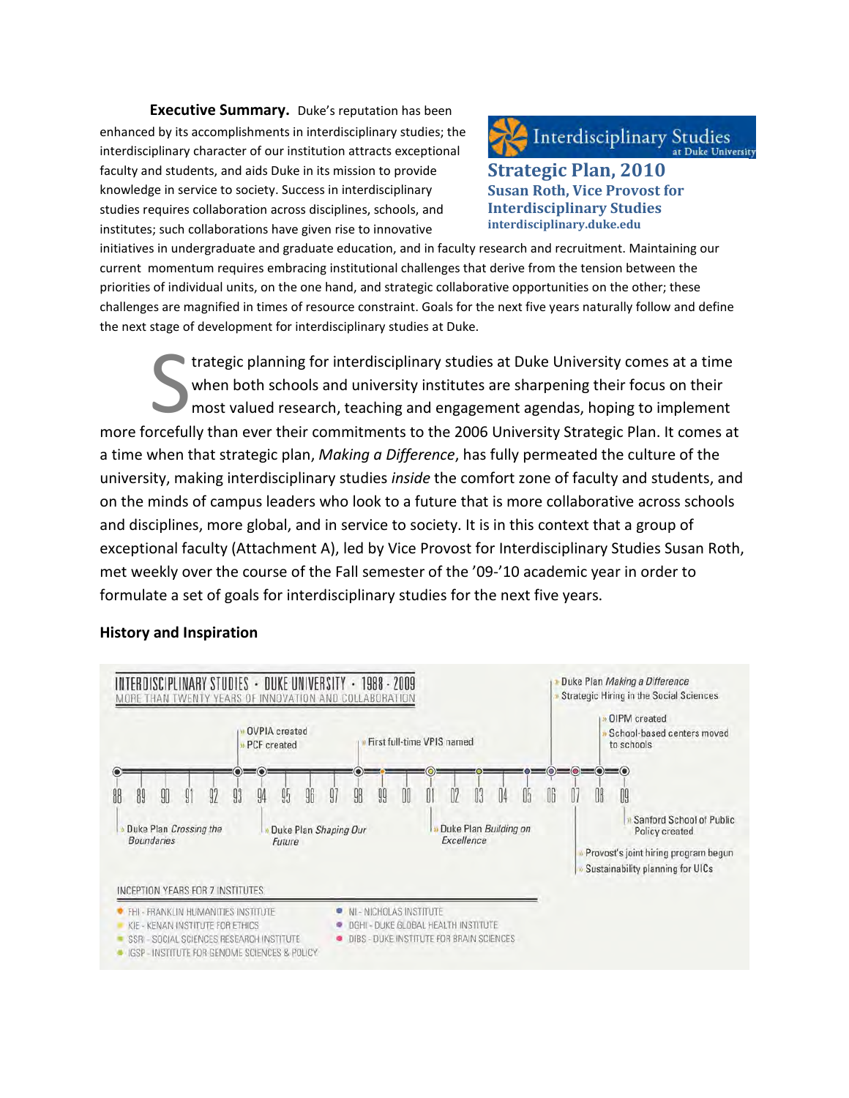**Executive Summary.** Duke's reputation has been enhanced by its accomplishments in interdisciplinary studies; the interdisciplinary character of our institution attracts exceptional faculty and students, and aids Duke in its mission to provide knowledge in service to society. Success in interdisciplinary studies requires collaboration across disciplines, schools, and institutes; such collaborations have given rise to innovative

**Interdisciplinary Studies** 

**Strategic Plan, 2010 Susan Roth, Vice Provost for Interdisciplinary Studies interdisciplinary.duke.edu**

initiatives in undergraduate and graduate education, and in faculty research and recruitment. Maintaining our current momentum requires embracing institutional challenges that derive from the tension between the priorities of individual units, on the one hand, and strategic collaborative opportunities on the other; these challenges are magnified in times of resource constraint. Goals for the next five years naturally follow and define the next stage of development for interdisciplinary studies at Duke.

trategic planning for interdisciplinary studies at Duke University comes at a time when both schools and university institutes are sharpening their focus on their most valued research, teaching and engagement agendas, hoping to implement trategic planning for interdisciplinary studies at Duke University comes at a time<br>when both schools and university institutes are sharpening their focus on their<br>most valued research, teaching and engagement agendas, hopi a time when that strategic plan, *Making a Difference*, has fully permeated the culture of the university, making interdisciplinary studies *inside* the comfort zone of faculty and students, and on the minds of campus leaders who look to a future that is more collaborative across schools and disciplines, more global, and in service to society. It is in this context that a group of exceptional faculty (Attachment A), led by Vice Provost for Interdisciplinary Studies Susan Roth, met weekly over the course of the Fall semester of the '09-'10 academic year in order to formulate a set of goals for interdisciplinary studies for the next five years.

#### **History and Inspiration**

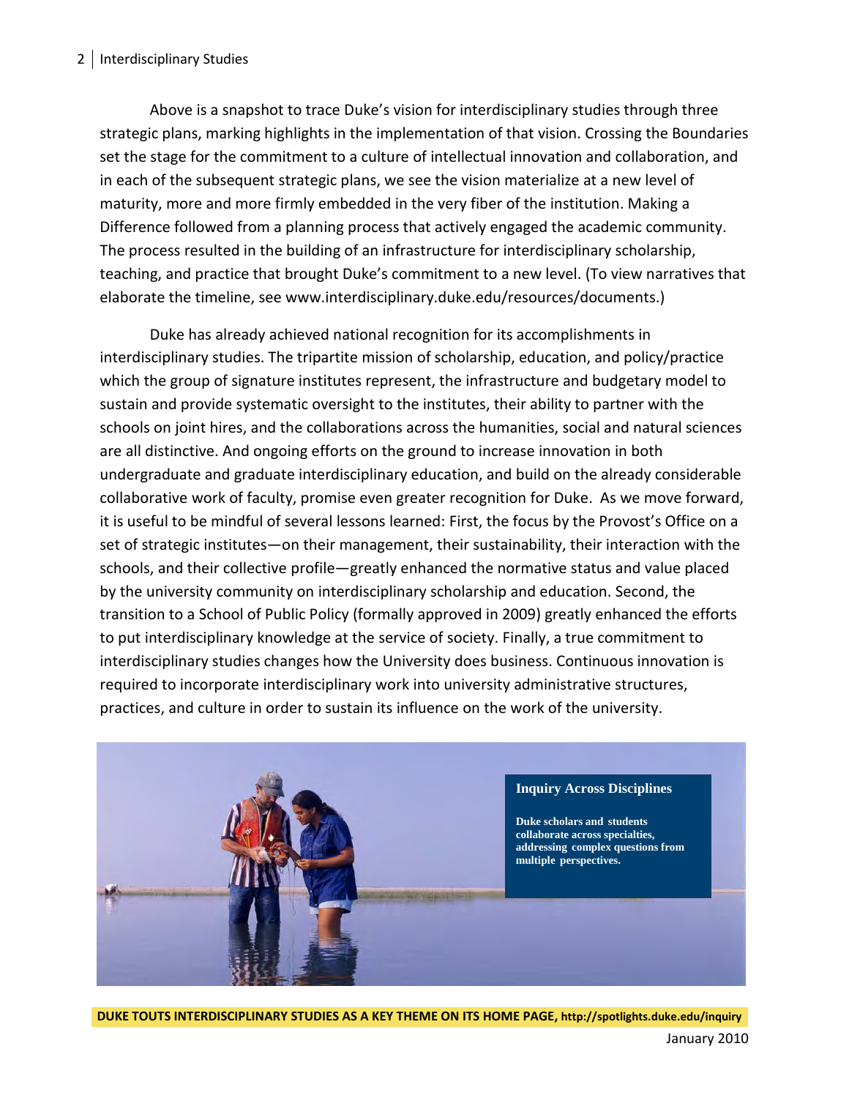#### 2 | Interdisciplinary Studies

Above is a snapshot to trace Duke's vision for interdisciplinary studies through three strategic plans, marking highlights in the implementation of that vision. Crossing the Boundaries set the stage for the commitment to a culture of intellectual innovation and collaboration, and in each of the subsequent strategic plans, we see the vision materialize at a new level of maturity, more and more firmly embedded in the very fiber of the institution. Making a Difference followed from a planning process that actively engaged the academic community. The process resulted in the building of an infrastructure for interdisciplinary scholarship, teaching, and practice that brought Duke's commitment to a new level. (To view narratives that elaborate the timeline, see www.interdisciplinary.duke.edu/resources/documents.)

Duke has already achieved national recognition for its accomplishments in interdisciplinary studies. The tripartite mission of scholarship, education, and policy/practice which the group of signature institutes represent, the infrastructure and budgetary model to sustain and provide systematic oversight to the institutes, their ability to partner with the schools on joint hires, and the collaborations across the humanities, social and natural sciences are all distinctive. And ongoing efforts on the ground to increase innovation in both undergraduate and graduate interdisciplinary education, and build on the already considerable collaborative work of faculty, promise even greater recognition for Duke. As we move forward, it is useful to be mindful of several lessons learned: First, the focus by the Provost's Office on a set of strategic institutes—on their management, their sustainability, their interaction with the schools, and their collective profile—greatly enhanced the normative status and value placed by the university community on interdisciplinary scholarship and education. Second, the transition to a School of Public Policy (formally approved in 2009) greatly enhanced the efforts to put interdisciplinary knowledge at the service of society. Finally, a true commitment to interdisciplinary studies changes how the University does business. Continuous innovation is required to incorporate interdisciplinary work into university administrative structures, practices, and culture in order to sustain its influence on the work of the university.



**DUKE TOUTS INTERDISCIPLINARY STUDIES AS A KEY THEME ON ITS HOME PAGE, http://spotlights.duke.edu/inquiry**

January 2010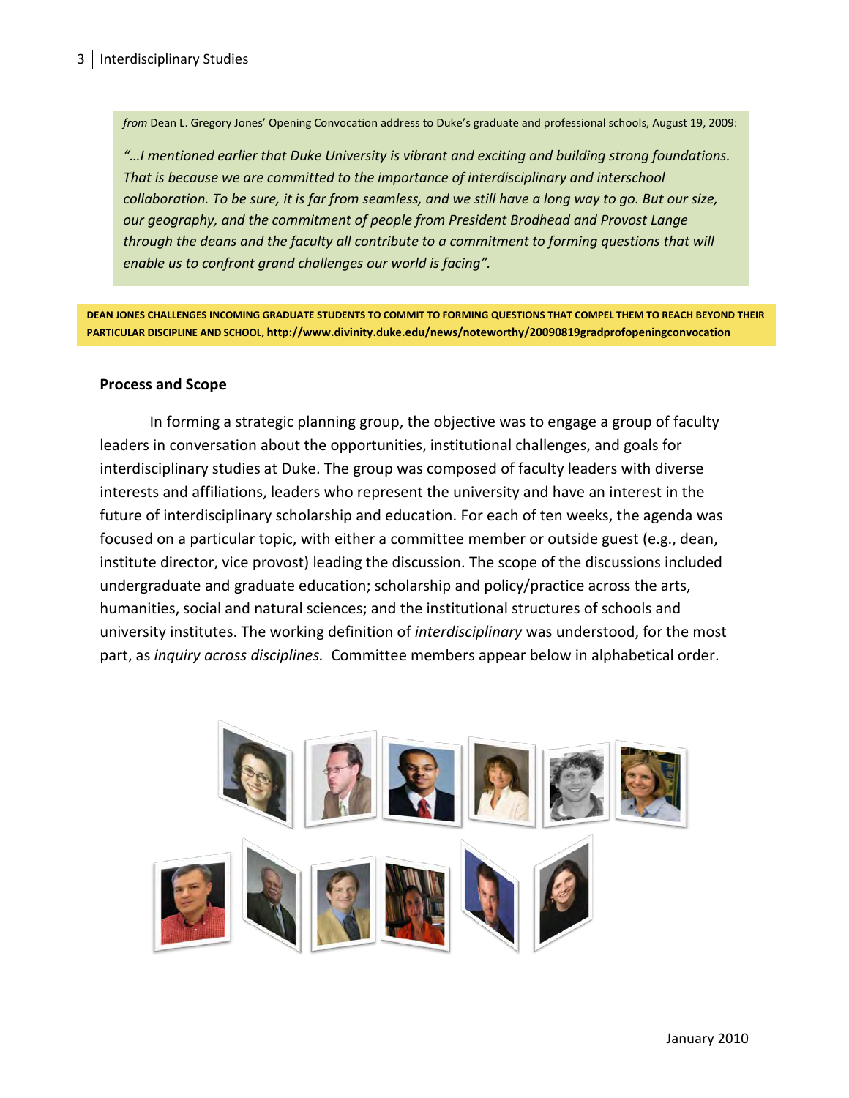*from* Dean L. Gregory Jones' Opening Convocation address to Duke's graduate and professional schools, August 19, 2009:

*"…I mentioned earlier that Duke University is vibrant and exciting and building strong foundations. That is because we are committed to the importance of interdisciplinary and interschool collaboration. To be sure, it is far from seamless, and we still have a long way to go. But our size, our geography, and the commitment of people from President Brodhead and Provost Lange through the deans and the faculty all contribute to a commitment to forming questions that will enable us to confront grand challenges our world is facing".*

**DEAN JONES CHALLENGES INCOMING GRADUATE STUDENTS TO COMMIT TO FORMING QUESTIONS THAT COMPEL THEM TO REACH BEYOND THEIR PARTICULAR DISCIPLINE AND SCHOOL, http://www.divinity.duke.edu/news/noteworthy/20090819gradprofopeningconvocation**

#### **Process and Scope**

In forming a strategic planning group, the objective was to engage a group of faculty leaders in conversation about the opportunities, institutional challenges, and goals for interdisciplinary studies at Duke. The group was composed of faculty leaders with diverse interests and affiliations, leaders who represent the university and have an interest in the future of interdisciplinary scholarship and education. For each of ten weeks, the agenda was focused on a particular topic, with either a committee member or outside guest (e.g., dean, institute director, vice provost) leading the discussion. The scope of the discussions included undergraduate and graduate education; scholarship and policy/practice across the arts, humanities, social and natural sciences; and the institutional structures of schools and university institutes. The working definition of *interdisciplinary* was understood, for the most part, as *inquiry across disciplines.* Committee members appear below in alphabetical order.

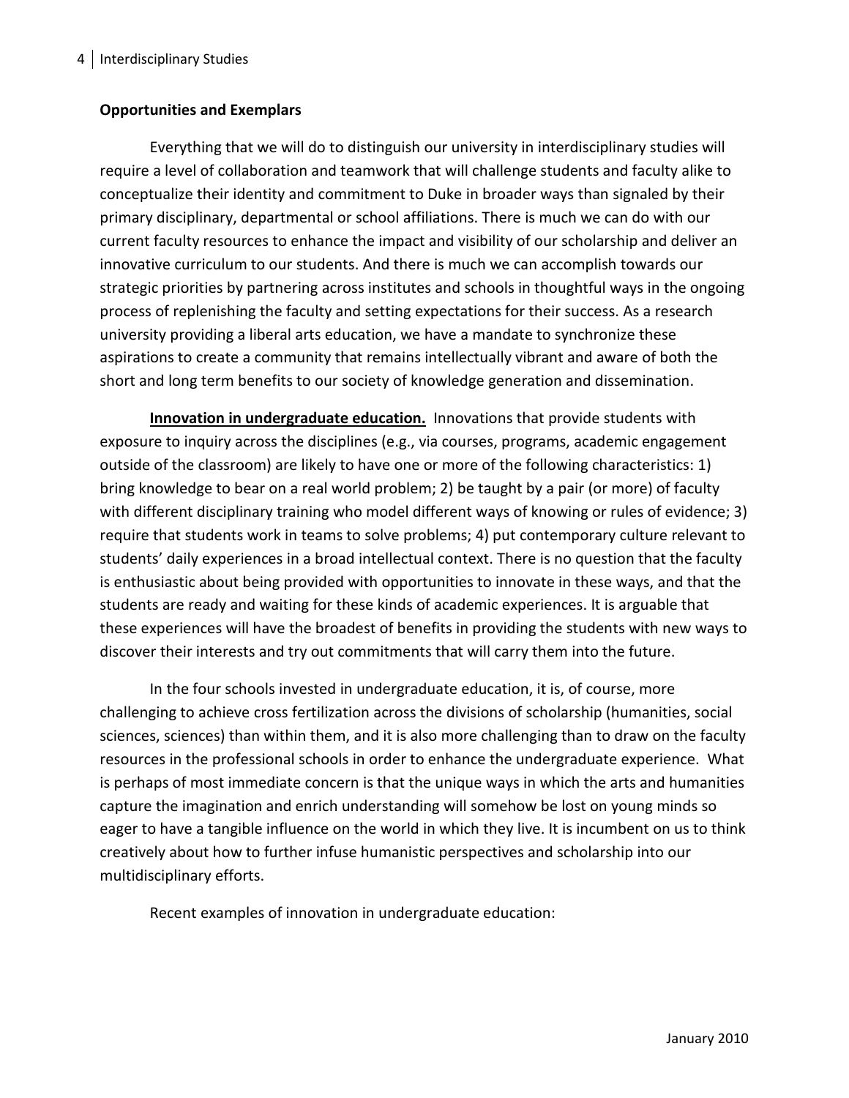## **Opportunities and Exemplars**

Everything that we will do to distinguish our university in interdisciplinary studies will require a level of collaboration and teamwork that will challenge students and faculty alike to conceptualize their identity and commitment to Duke in broader ways than signaled by their primary disciplinary, departmental or school affiliations. There is much we can do with our current faculty resources to enhance the impact and visibility of our scholarship and deliver an innovative curriculum to our students. And there is much we can accomplish towards our strategic priorities by partnering across institutes and schools in thoughtful ways in the ongoing process of replenishing the faculty and setting expectations for their success. As a research university providing a liberal arts education, we have a mandate to synchronize these aspirations to create a community that remains intellectually vibrant and aware of both the short and long term benefits to our society of knowledge generation and dissemination.

**Innovation in undergraduate education.** Innovations that provide students with exposure to inquiry across the disciplines (e.g., via courses, programs, academic engagement outside of the classroom) are likely to have one or more of the following characteristics: 1) bring knowledge to bear on a real world problem; 2) be taught by a pair (or more) of faculty with different disciplinary training who model different ways of knowing or rules of evidence; 3) require that students work in teams to solve problems; 4) put contemporary culture relevant to students' daily experiences in a broad intellectual context. There is no question that the faculty is enthusiastic about being provided with opportunities to innovate in these ways, and that the students are ready and waiting for these kinds of academic experiences. It is arguable that these experiences will have the broadest of benefits in providing the students with new ways to discover their interests and try out commitments that will carry them into the future.

In the four schools invested in undergraduate education, it is, of course, more challenging to achieve cross fertilization across the divisions of scholarship (humanities, social sciences, sciences) than within them, and it is also more challenging than to draw on the faculty resources in the professional schools in order to enhance the undergraduate experience. What is perhaps of most immediate concern is that the unique ways in which the arts and humanities capture the imagination and enrich understanding will somehow be lost on young minds so eager to have a tangible influence on the world in which they live. It is incumbent on us to think creatively about how to further infuse humanistic perspectives and scholarship into our multidisciplinary efforts.

Recent examples of innovation in undergraduate education: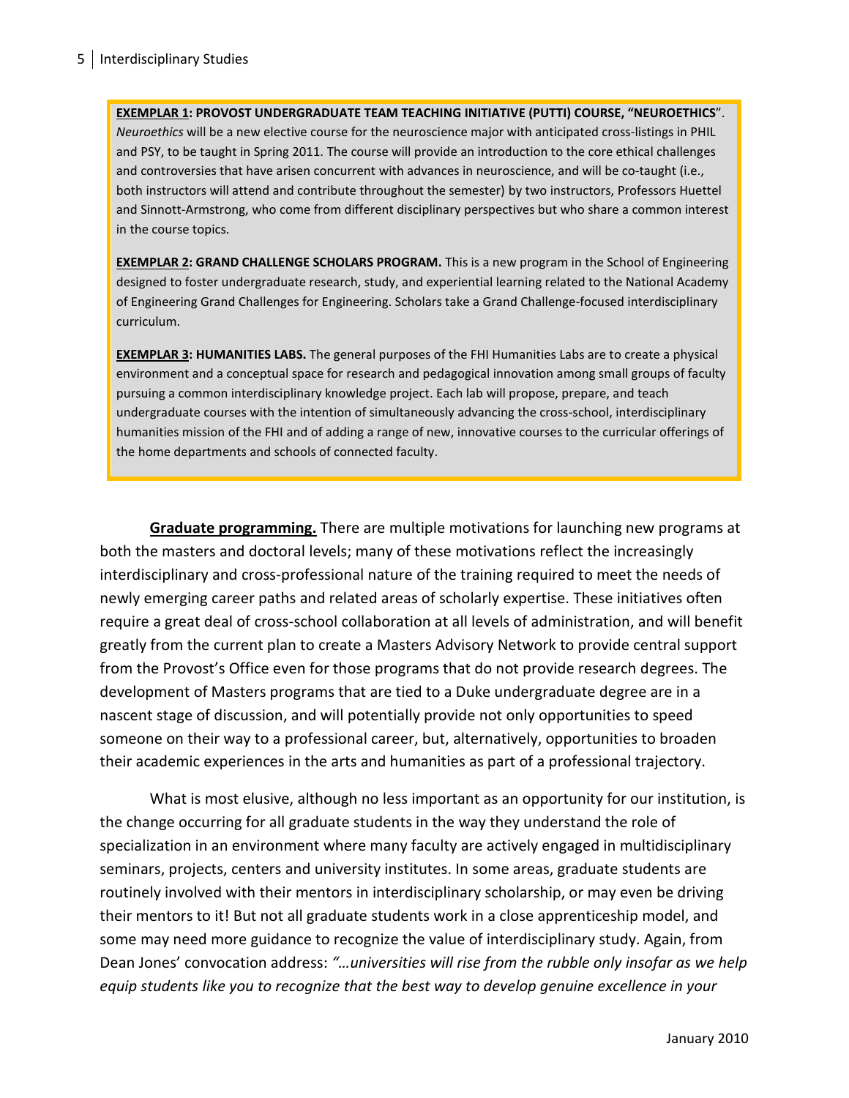**EXEMPLAR 1: PROVOST UNDERGRADUATE TEAM TEACHING INITIATIVE (PUTTI) COURSE, "NEUROETHICS**". *Neuroethics* will be a new elective course for the neuroscience major with anticipated cross-listings in PHIL and PSY, to be taught in Spring 2011. The course will provide an introduction to the core ethical challenges and controversies that have arisen concurrent with advances in neuroscience, and will be co-taught (i.e., both instructors will attend and contribute throughout the semester) by two instructors, Professors Huettel and Sinnott-Armstrong, who come from different disciplinary perspectives but who share a common interest in the course topics.

**EXEMPLAR 2: GRAND CHALLENGE SCHOLARS PROGRAM.** This is a new program in the School of Engineering designed to foster undergraduate research, study, and experiential learning related to the National Academy of Engineering Grand Challenges for Engineering. Scholars take a Grand Challenge-focused interdisciplinary curriculum.

**EXEMPLAR 3: HUMANITIES LABS.** The general purposes of the FHI Humanities Labs are to create a physical environment and a conceptual space for research and pedagogical innovation among small groups of faculty pursuing a common interdisciplinary knowledge project. Each lab will propose, prepare, and teach undergraduate courses with the intention of simultaneously advancing the cross-school, interdisciplinary humanities mission of the FHI and of adding a range of new, innovative courses to the curricular offerings of the home departments and schools of connected faculty.

**Graduate programming.** There are multiple motivations for launching new programs at both the masters and doctoral levels; many of these motivations reflect the increasingly interdisciplinary and cross-professional nature of the training required to meet the needs of newly emerging career paths and related areas of scholarly expertise. These initiatives often require a great deal of cross-school collaboration at all levels of administration, and will benefit greatly from the current plan to create a Masters Advisory Network to provide central support from the Provost's Office even for those programs that do not provide research degrees. The development of Masters programs that are tied to a Duke undergraduate degree are in a nascent stage of discussion, and will potentially provide not only opportunities to speed someone on their way to a professional career, but, alternatively, opportunities to broaden their academic experiences in the arts and humanities as part of a professional trajectory.

What is most elusive, although no less important as an opportunity for our institution, is the change occurring for all graduate students in the way they understand the role of specialization in an environment where many faculty are actively engaged in multidisciplinary seminars, projects, centers and university institutes. In some areas, graduate students are routinely involved with their mentors in interdisciplinary scholarship, or may even be driving their mentors to it! But not all graduate students work in a close apprenticeship model, and some may need more guidance to recognize the value of interdisciplinary study. Again, from Dean Jones' convocation address: *"…universities will rise from the rubble only insofar as we help equip students like you to recognize that the best way to develop genuine excellence in your*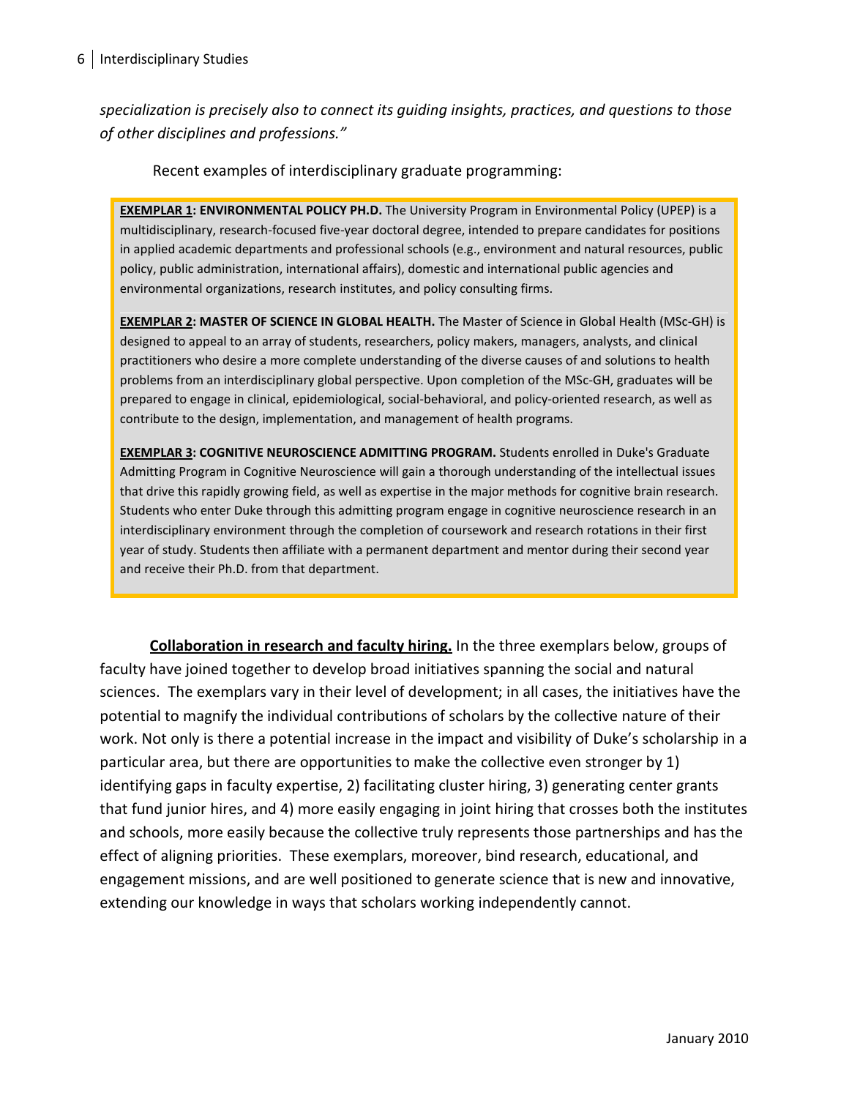*specialization is precisely also to connect its guiding insights, practices, and questions to those of other disciplines and professions."*

Recent examples of interdisciplinary graduate programming:

**EXEMPLAR 1: ENVIRONMENTAL POLICY PH.D.** The University Program in Environmental Policy (UPEP) is a multidisciplinary, research-focused five-year doctoral degree, intended to prepare candidates for positions in applied academic departments and professional schools (e.g., environment and natural resources, public policy, public administration, international affairs), domestic and international public agencies and environmental organizations, research institutes, and policy consulting firms.

**EXEMPLAR 2: MASTER OF SCIENCE IN GLOBAL HEALTH.** The Master of Science in Global Health (MSc-GH) is designed to appeal to an array of students, researchers, policy makers, managers, analysts, and clinical practitioners who desire a more complete understanding of the diverse causes of and solutions to health problems from an interdisciplinary global perspective. Upon completion of the MSc-GH, graduates will be prepared to engage in clinical, epidemiological, social-behavioral, and policy-oriented research, as well as contribute to the design, implementation, and management of health programs.

**EXEMPLAR 3: COGNITIVE NEUROSCIENCE ADMITTING PROGRAM.** Students enrolled in Duke's Graduate Admitting Program in Cognitive Neuroscience will gain a thorough understanding of the intellectual issues that drive this rapidly growing field, as well as expertise in the major methods for cognitive brain research. Students who enter Duke through this admitting program engage in cognitive neuroscience research in an interdisciplinary environment through the completion of coursework and research rotations in their first year of study. Students then affiliate with a permanent department and mentor during their second year and receive their Ph.D. from that department.

**Collaboration in research and faculty hiring.** In the three exemplars below, groups of faculty have joined together to develop broad initiatives spanning the social and natural sciences. The exemplars vary in their level of development; in all cases, the initiatives have the potential to magnify the individual contributions of scholars by the collective nature of their work. Not only is there a potential increase in the impact and visibility of Duke's scholarship in a particular area, but there are opportunities to make the collective even stronger by 1) identifying gaps in faculty expertise, 2) facilitating cluster hiring, 3) generating center grants that fund junior hires, and 4) more easily engaging in joint hiring that crosses both the institutes and schools, more easily because the collective truly represents those partnerships and has the effect of aligning priorities. These exemplars, moreover, bind research, educational, and engagement missions, and are well positioned to generate science that is new and innovative, extending our knowledge in ways that scholars working independently cannot.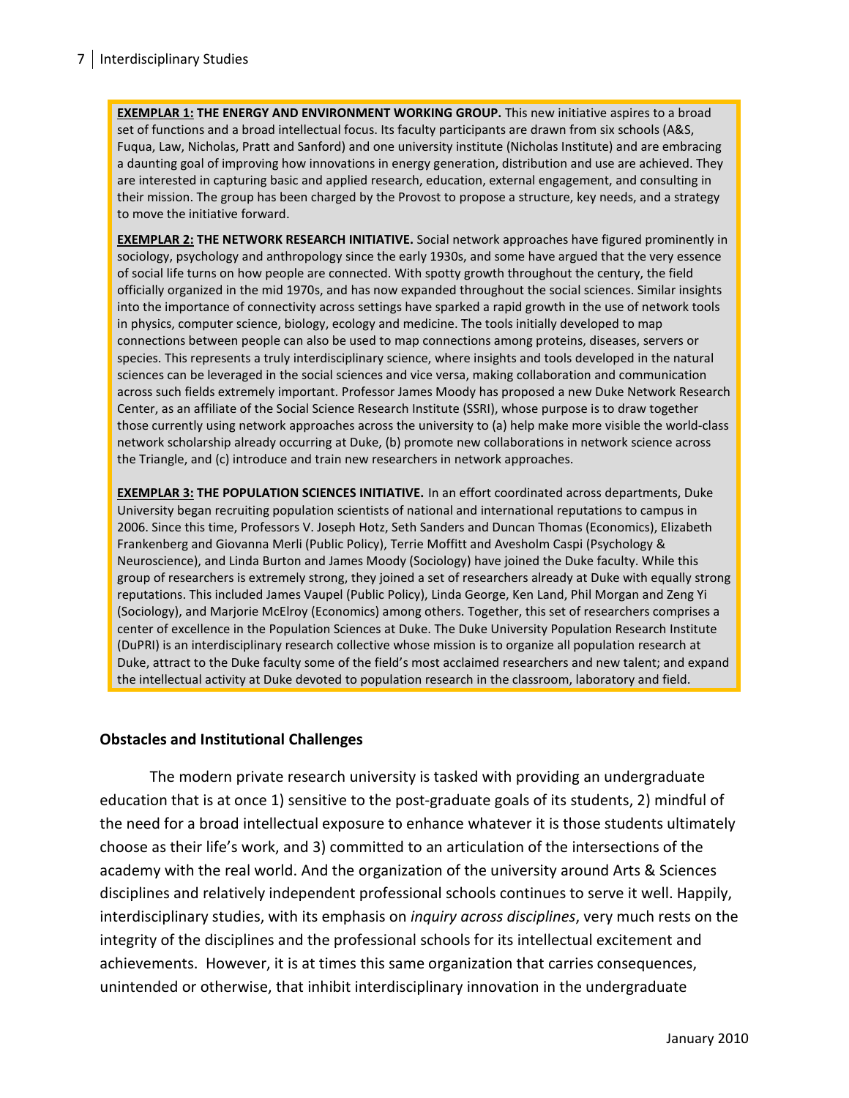**EXEMPLAR 1: THE ENERGY AND ENVIRONMENT WORKING GROUP.** This new initiative aspires to a broad set of functions and a broad intellectual focus. Its faculty participants are drawn from six schools (A&S, Fuqua, Law, Nicholas, Pratt and Sanford) and one university institute (Nicholas Institute) and are embracing a daunting goal of improving how innovations in energy generation, distribution and use are achieved. They are interested in capturing basic and applied research, education, external engagement, and consulting in their mission. The group has been charged by the Provost to propose a structure, key needs, and a strategy to move the initiative forward.

**EXEMPLAR 2: THE NETWORK RESEARCH INITIATIVE.** Social network approaches have figured prominently in sociology, psychology and anthropology since the early 1930s, and some have argued that the very essence of social life turns on how people are connected. With spotty growth throughout the century, the field officially organized in the mid 1970s, and has now expanded throughout the social sciences. Similar insights into the importance of connectivity across settings have sparked a rapid growth in the use of network tools in physics, computer science, biology, ecology and medicine. The tools initially developed to map connections between people can also be used to map connections among proteins, diseases, servers or species. This represents a truly interdisciplinary science, where insights and tools developed in the natural sciences can be leveraged in the social sciences and vice versa, making collaboration and communication across such fields extremely important. Professor James Moody has proposed a new Duke Network Research Center, as an affiliate of the Social Science Research Institute (SSRI), whose purpose is to draw together those currently using network approaches across the university to (a) help make more visible the world-class network scholarship already occurring at Duke, (b) promote new collaborations in network science across the Triangle, and (c) introduce and train new researchers in network approaches.

**EXEMPLAR 3: THE POPULATION SCIENCES INITIATIVE.** In an effort coordinated across departments, Duke University began recruiting population scientists of national and international reputations to campus in 2006. Since this time, Professors V. Joseph Hotz, Seth Sanders and Duncan Thomas (Economics), Elizabeth Frankenberg and Giovanna Merli (Public Policy), Terrie Moffitt and Avesholm Caspi (Psychology & Neuroscience), and Linda Burton and James Moody (Sociology) have joined the Duke faculty. While this group of researchers is extremely strong, they joined a set of researchers already at Duke with equally strong reputations. This included James Vaupel (Public Policy), Linda George, Ken Land, Phil Morgan and Zeng Yi (Sociology), and Marjorie McElroy (Economics) among others. Together, this set of researchers comprises a center of excellence in the Population Sciences at Duke. The Duke University Population Research Institute (DuPRI) is an interdisciplinary research collective whose mission is to organize all population research at Duke, attract to the Duke faculty some of the field's most acclaimed researchers and new talent; and expand the intellectual activity at Duke devoted to population research in the classroom, laboratory and field.

### **Obstacles and Institutional Challenges**

The modern private research university is tasked with providing an undergraduate education that is at once 1) sensitive to the post-graduate goals of its students, 2) mindful of the need for a broad intellectual exposure to enhance whatever it is those students ultimately choose as their life's work, and 3) committed to an articulation of the intersections of the academy with the real world. And the organization of the university around Arts & Sciences disciplines and relatively independent professional schools continues to serve it well. Happily, interdisciplinary studies, with its emphasis on *inquiry across disciplines*, very much rests on the integrity of the disciplines and the professional schools for its intellectual excitement and achievements. However, it is at times this same organization that carries consequences, unintended or otherwise, that inhibit interdisciplinary innovation in the undergraduate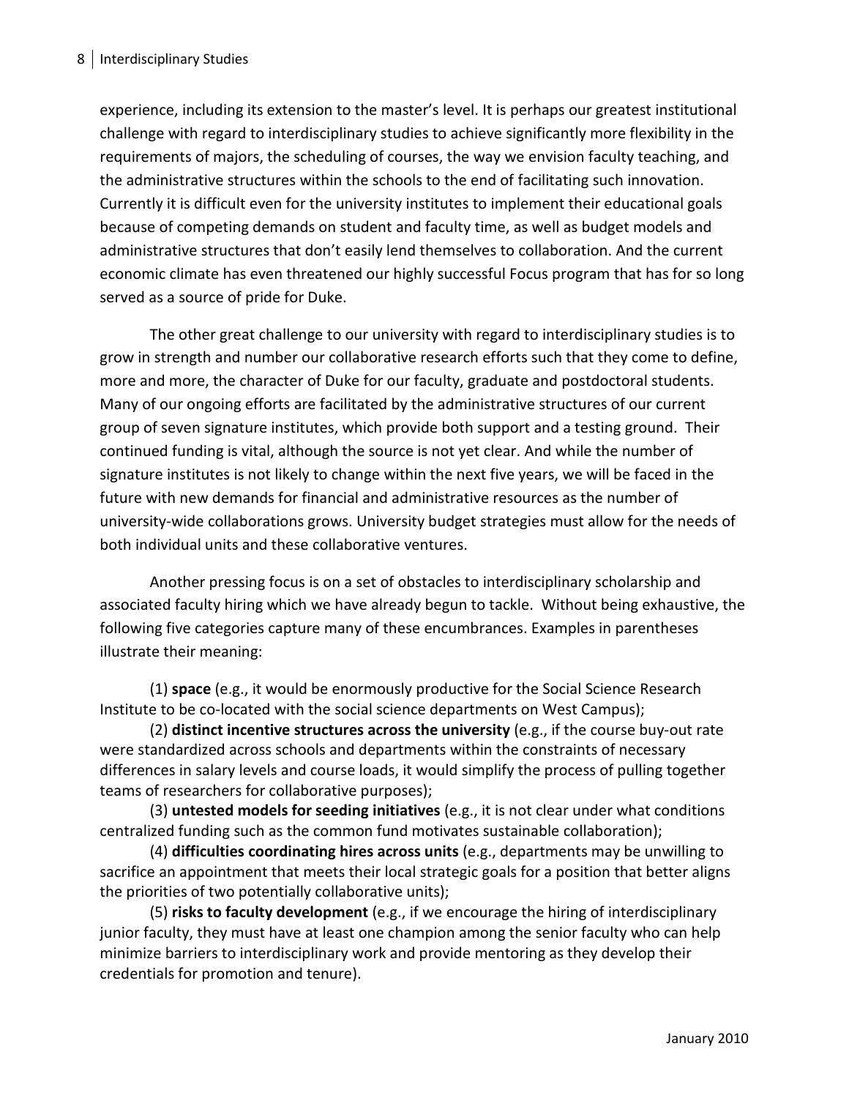experience, including its extension to the master's level. It is perhaps our greatest institutional challenge with regard to interdisciplinary studies to achieve significantly more flexibility in the requirements of majors, the scheduling of courses, the way we envision faculty teaching, and the administrative structures within the schools to the end of facilitating such innovation. Currently it is difficult even for the university institutes to implement their educational goals because of competing demands on student and faculty time, as well as budget models and administrative structures that don't easily lend themselves to collaboration. And the current economic climate has even threatened our highly successful Focus program that has for so long served as a source of pride for Duke.

The other great challenge to our university with regard to interdisciplinary studies is to grow in strength and number our collaborative research efforts such that they come to define, more and more, the character of Duke for our faculty, graduate and postdoctoral students. Many of our ongoing efforts are facilitated by the administrative structures of our current group of seven signature institutes, which provide both support and a testing ground. Their continued funding is vital, although the source is not yet clear. And while the number of signature institutes is not likely to change within the next five years, we will be faced in the future with new demands for financial and administrative resources as the number of university-wide collaborations grows. University budget strategies must allow for the needs of both individual units and these collaborative ventures.

Another pressing focus is on a set of obstacles to interdisciplinary scholarship and associated faculty hiring which we have already begun to tackle. Without being exhaustive, the following five categories capture many of these encumbrances. Examples in parentheses illustrate their meaning:

(1) **space** (e.g., it would be enormously productive for the Social Science Research Institute to be co-located with the social science departments on West Campus);

(2) **distinct incentive structures across the university** (e.g., if the course buy-out rate were standardized across schools and departments within the constraints of necessary differences in salary levels and course loads, it would simplify the process of pulling together teams of researchers for collaborative purposes);

(3) **untested models for seeding initiatives** (e.g., it is not clear under what conditions centralized funding such as the common fund motivates sustainable collaboration);

(4) **difficulties coordinating hires across units** (e.g., departments may be unwilling to sacrifice an appointment that meets their local strategic goals for a position that better aligns the priorities of two potentially collaborative units);

(5) **risks to faculty development** (e.g., if we encourage the hiring of interdisciplinary junior faculty, they must have at least one champion among the senior faculty who can help minimize barriers to interdisciplinary work and provide mentoring as they develop their credentials for promotion and tenure).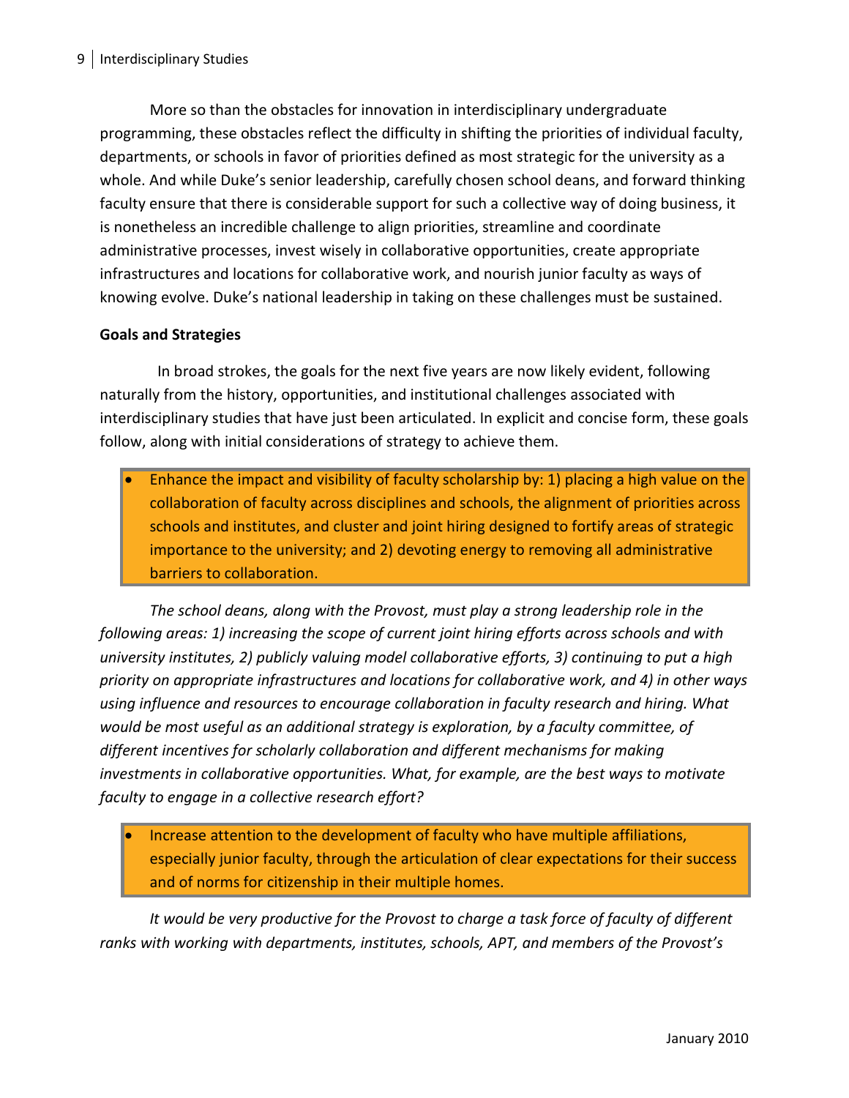More so than the obstacles for innovation in interdisciplinary undergraduate programming, these obstacles reflect the difficulty in shifting the priorities of individual faculty, departments, or schools in favor of priorities defined as most strategic for the university as a whole. And while Duke's senior leadership, carefully chosen school deans, and forward thinking faculty ensure that there is considerable support for such a collective way of doing business, it is nonetheless an incredible challenge to align priorities, streamline and coordinate administrative processes, invest wisely in collaborative opportunities, create appropriate infrastructures and locations for collaborative work, and nourish junior faculty as ways of knowing evolve. Duke's national leadership in taking on these challenges must be sustained.

## **Goals and Strategies**

 In broad strokes, the goals for the next five years are now likely evident, following naturally from the history, opportunities, and institutional challenges associated with interdisciplinary studies that have just been articulated. In explicit and concise form, these goals follow, along with initial considerations of strategy to achieve them.

Enhance the impact and visibility of faculty scholarship by: 1) placing a high value on the collaboration of faculty across disciplines and schools, the alignment of priorities across schools and institutes, and cluster and joint hiring designed to fortify areas of strategic importance to the university; and 2) devoting energy to removing all administrative barriers to collaboration.

*The school deans, along with the Provost, must play a strong leadership role in the following areas: 1) increasing the scope of current joint hiring efforts across schools and with university institutes, 2) publicly valuing model collaborative efforts, 3) continuing to put a high priority on appropriate infrastructures and locations for collaborative work, and 4) in other ways using influence and resources to encourage collaboration in faculty research and hiring. What would be most useful as an additional strategy is exploration, by a faculty committee, of different incentives for scholarly collaboration and different mechanisms for making investments in collaborative opportunities. What, for example, are the best ways to motivate faculty to engage in a collective research effort?*

• Increase attention to the development of faculty who have multiple affiliations, especially junior faculty, through the articulation of clear expectations for their success and of norms for citizenship in their multiple homes.

*It would be very productive for the Provost to charge a task force of faculty of different ranks with working with departments, institutes, schools, APT, and members of the Provost's*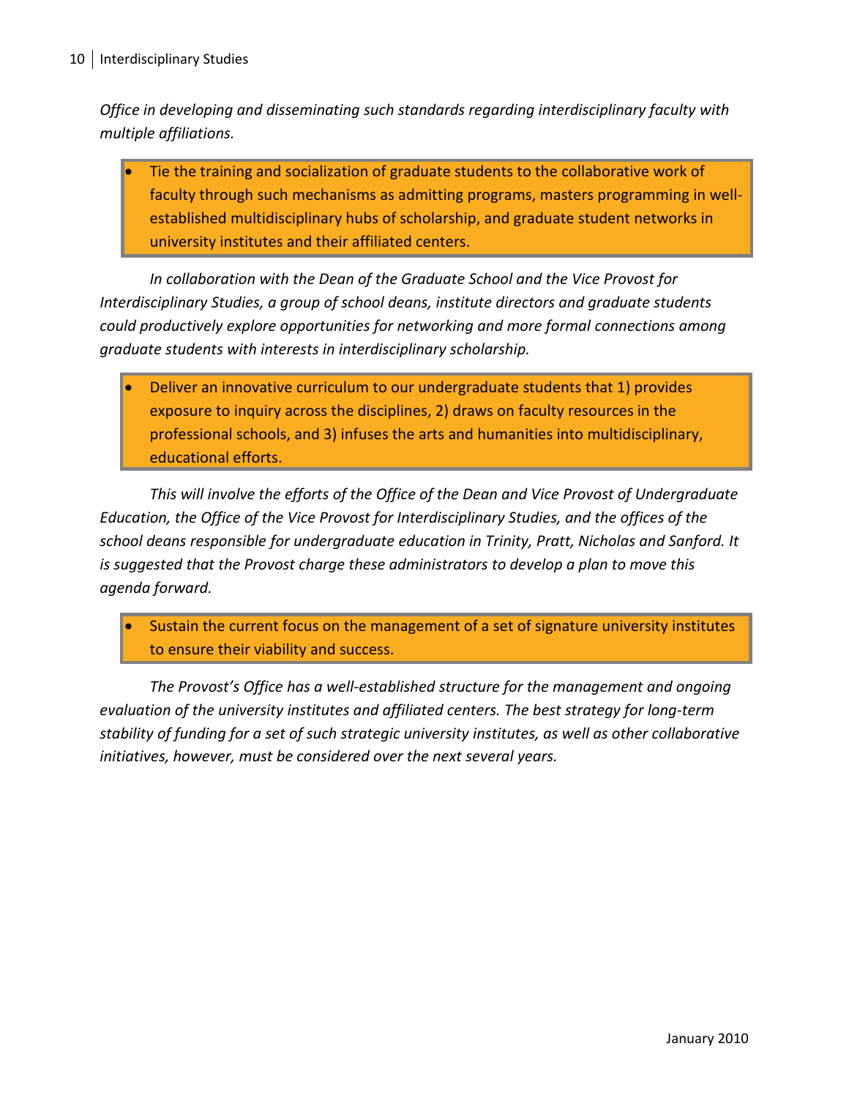*Office in developing and disseminating such standards regarding interdisciplinary faculty with multiple affiliations.*

• Tie the training and socialization of graduate students to the collaborative work of faculty through such mechanisms as admitting programs, masters programming in wellestablished multidisciplinary hubs of scholarship, and graduate student networks in university institutes and their affiliated centers.

*In collaboration with the Dean of the Graduate School and the Vice Provost for Interdisciplinary Studies, a group of school deans, institute directors and graduate students could productively explore opportunities for networking and more formal connections among graduate students with interests in interdisciplinary scholarship.*

• Deliver an innovative curriculum to our undergraduate students that 1) provides exposure to inquiry across the disciplines, 2) draws on faculty resources in the professional schools, and 3) infuses the arts and humanities into multidisciplinary, educational efforts.

*This will involve the efforts of the Office of the Dean and Vice Provost of Undergraduate Education, the Office of the Vice Provost for Interdisciplinary Studies, and the offices of the school deans responsible for undergraduate education in Trinity, Pratt, Nicholas and Sanford. It is suggested that the Provost charge these administrators to develop a plan to move this agenda forward.*

Sustain the current focus on the management of a set of signature university institutes to ensure their viability and success.

*The Provost's Office has a well-established structure for the management and ongoing evaluation of the university institutes and affiliated centers. The best strategy for long-term stability of funding for a set of such strategic university institutes, as well as other collaborative initiatives, however, must be considered over the next several years.*